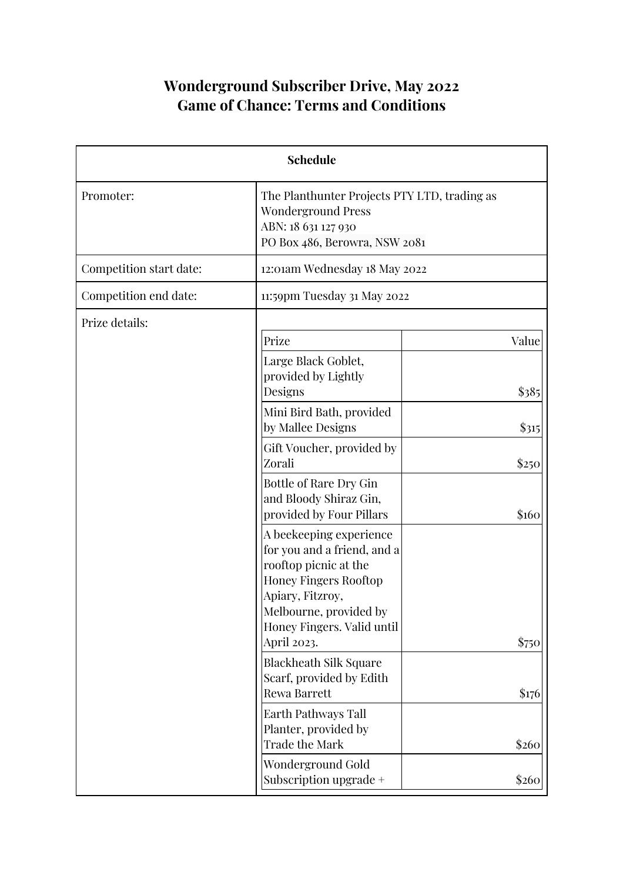# **Wonderground Subscriber Drive, May 2022 Game of Chance: Terms and Conditions**

| <b>Schedule</b>         |                                                                                                                                                                                                            |       |
|-------------------------|------------------------------------------------------------------------------------------------------------------------------------------------------------------------------------------------------------|-------|
| Promoter:               | The Planthunter Projects PTY LTD, trading as<br><b>Wonderground Press</b><br>ABN: 18 631 127 930<br>PO Box 486, Berowra, NSW 2081                                                                          |       |
| Competition start date: | 12:01am Wednesday 18 May 2022                                                                                                                                                                              |       |
| Competition end date:   | 11:59pm Tuesday 31 May 2022                                                                                                                                                                                |       |
| Prize details:          | Prize                                                                                                                                                                                                      | Value |
|                         | Large Black Goblet,<br>provided by Lightly<br>Designs                                                                                                                                                      | \$385 |
|                         | Mini Bird Bath, provided<br>by Mallee Designs                                                                                                                                                              | \$315 |
|                         | Gift Voucher, provided by<br>Zorali                                                                                                                                                                        | \$250 |
|                         | Bottle of Rare Dry Gin<br>and Bloody Shiraz Gin,<br>provided by Four Pillars                                                                                                                               | \$160 |
|                         | A beekeeping experience<br>for you and a friend, and a<br>rooftop picnic at the<br><b>Honey Fingers Rooftop</b><br>Apiary, Fitzroy,<br>Melbourne, provided by<br>Honey Fingers. Valid until<br>April 2023. | \$750 |
|                         | <b>Blackheath Silk Square</b><br>Scarf, provided by Edith<br>Rewa Barrett                                                                                                                                  | \$176 |
|                         | Earth Pathways Tall<br>Planter, provided by<br><b>Trade the Mark</b>                                                                                                                                       | \$260 |
|                         | Wonderground Gold<br>Subscription upgrade +                                                                                                                                                                | \$260 |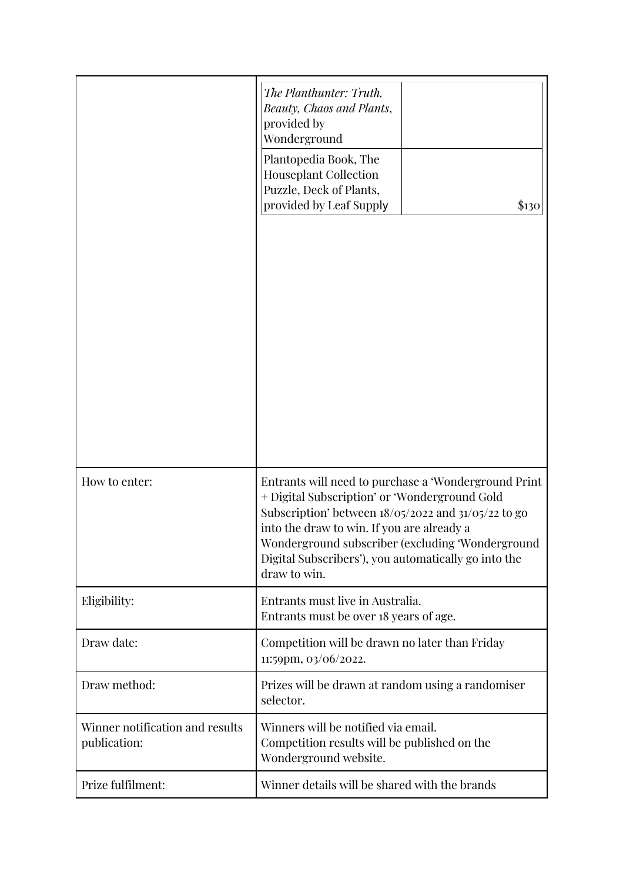|                                                 | The Planthunter: Truth,<br><b>Beauty, Chaos and Plants,</b><br>provided by<br>Wonderground<br>Plantopedia Book, The<br><b>Houseplant Collection</b><br>Puzzle, Deck of Plants,<br>provided by Leaf Supply<br>\$130                                                                                                                         |  |
|-------------------------------------------------|--------------------------------------------------------------------------------------------------------------------------------------------------------------------------------------------------------------------------------------------------------------------------------------------------------------------------------------------|--|
| How to enter:                                   | Entrants will need to purchase a 'Wonderground Print<br>+ Digital Subscription' or 'Wonderground Gold<br>Subscription' between $18/05/2022$ and $31/05/22$ to go<br>into the draw to win. If you are already a<br>Wonderground subscriber (excluding 'Wonderground<br>Digital Subscribers'), you automatically go into the<br>draw to win. |  |
| Eligibility:                                    | Entrants must live in Australia.<br>Entrants must be over 18 years of age.                                                                                                                                                                                                                                                                 |  |
| Draw date:                                      | Competition will be drawn no later than Friday<br>11:59pm, 03/06/2022.                                                                                                                                                                                                                                                                     |  |
| Draw method:                                    | Prizes will be drawn at random using a randomiser<br>selector.                                                                                                                                                                                                                                                                             |  |
| Winner notification and results<br>publication: | Winners will be notified via email.<br>Competition results will be published on the<br>Wonderground website.                                                                                                                                                                                                                               |  |
| Prize fulfilment:                               | Winner details will be shared with the brands                                                                                                                                                                                                                                                                                              |  |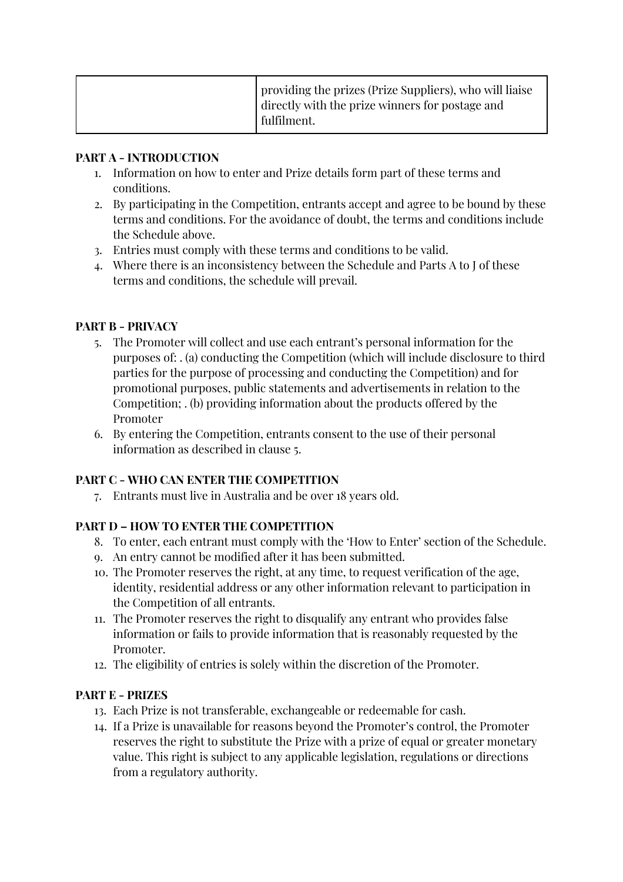#### **PART A - INTRODUCTION**

- 1. Information on how to enter and Prize details form part of these terms and conditions.
- 2. By participating in the Competition, entrants accept and agree to be bound by these terms and conditions. For the avoidance of doubt, the terms and conditions include the Schedule above.
- 3. Entries must comply with these terms and conditions to be valid.
- 4. Where there is an inconsistency between the Schedule and Parts A to J of these terms and conditions, the schedule will prevail.

# **PART B - PRIVACY**

- 5. The Promoter will collect and use each entrant's personal information for the purposes of: . (a) conducting the Competition (which will include disclosure to third parties for the purpose of processing and conducting the Competition) and for promotional purposes, public statements and advertisements in relation to the Competition; . (b) providing information about the products offered by the Promoter
- 6. By entering the Competition, entrants consent to the use of their personal information as described in clause 5.

# **PART C - WHO CAN ENTER THE COMPETITION**

7. Entrants must live in Australia and be over 18 years old.

# **PART D – HOW TO ENTER THE COMPETITION**

- 8. To enter, each entrant must comply with the 'How to Enter' section of the Schedule.
- 9. An entry cannot be modified after it has been submitted.
- 10. The Promoter reserves the right, at any time, to request verification of the age, identity, residential address or any other information relevant to participation in the Competition of all entrants.
- 11. The Promoter reserves the right to disqualify any entrant who provides false information or fails to provide information that is reasonably requested by the Promoter.
- 12. The eligibility of entries is solely within the discretion of the Promoter.

# **PART E - PRIZES**

- 13. Each Prize is not transferable, exchangeable or redeemable for cash.
- 14. If a Prize is unavailable for reasons beyond the Promoter's control, the Promoter reserves the right to substitute the Prize with a prize of equal or greater monetary value. This right is subject to any applicable legislation, regulations or directions from a regulatory authority.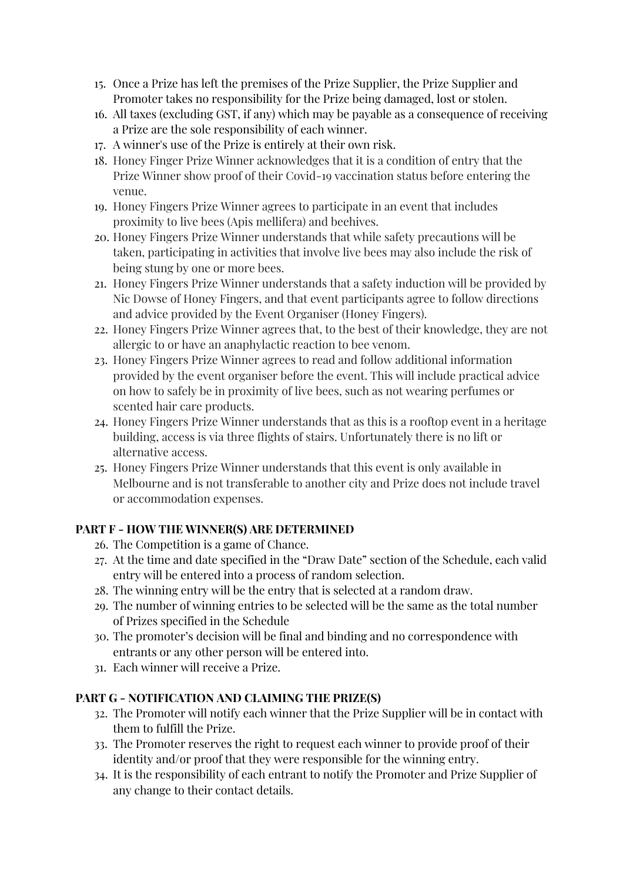- 15. Once a Prize has left the premises of the Prize Supplier, the Prize Supplier and Promoter takes no responsibility for the Prize being damaged, lost or stolen.
- 16. All taxes (excluding GST, if any) which may be payable as a consequence of receiving a Prize are the sole responsibility of each winner.
- 17. A winner's use of the Prize is entirely at their own risk.
- 18. Honey Finger Prize Winner acknowledges that it is a condition of entry that the Prize Winner show proof of their Covid-19 vaccination status before entering the venue.
- 19. Honey Fingers Prize Winner agrees to participate in an event that includes proximity to live bees (Apis mellifera) and beehives.
- 20. Honey Fingers Prize Winner understands that while safety precautions will be taken, participating in activities that involve live bees may also include the risk of being stung by one or more bees.
- 21. Honey Fingers Prize Winner understands that a safety induction will be provided by Nic Dowse of Honey Fingers, and that event participants agree to follow directions and advice provided by the Event Organiser (Honey Fingers).
- 22. Honey Fingers Prize Winner agrees that, to the best of their knowledge, they are not allergic to or have an anaphylactic reaction to bee venom.
- 23. Honey Fingers Prize Winner agrees to read and follow additional information provided by the event organiser before the event. This will include practical advice on how to safely be in proximity of live bees, such as not wearing perfumes or scented hair care products.
- 24. Honey Fingers Prize Winner understands that as this is a rooftop event in a heritage building, access is via three flights of stairs. Unfortunately there is no lift or alternative access.
- 25. Honey Fingers Prize Winner understands that this event is only available in Melbourne and is not transferable to another city and Prize does not include travel or accommodation expenses.

# **PART F - HOW THE WINNER(S) ARE DETERMINED**

- 26. The Competition is a game of Chance.
- 27. At the time and date specified in the "Draw Date" section of the Schedule, each valid entry will be entered into a process of random selection.
- 28. The winning entry will be the entry that is selected at a random draw.
- 29. The number of winning entries to be selected will be the same as the total number of Prizes specified in the Schedule
- 30. The promoter's decision will be final and binding and no correspondence with entrants or any other person will be entered into.
- 31. Each winner will receive a Prize.

# **PART G - NOTIFICATION AND CLAIMING THE PRIZE(S)**

- 32. The Promoter will notify each winner that the Prize Supplier will be in contact with them to fulfill the Prize.
- 33. The Promoter reserves the right to request each winner to provide proof of their identity and/or proof that they were responsible for the winning entry.
- 34. It is the responsibility of each entrant to notify the Promoter and Prize Supplier of any change to their contact details.